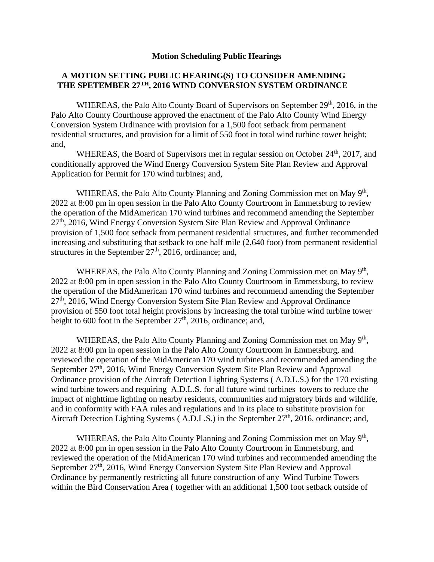## **Motion Scheduling Public Hearings**

## **A MOTION SETTING PUBLIC HEARING(S) TO CONSIDER AMENDING THE SPETEMBER 27TH, 2016 WIND CONVERSION SYSTEM ORDINANCE**

WHEREAS, the Palo Alto County Board of Supervisors on September 29<sup>th</sup>, 2016, in the Palo Alto County Courthouse approved the enactment of the Palo Alto County Wind Energy Conversion System Ordinance with provision for a 1,500 foot setback from permanent residential structures, and provision for a limit of 550 foot in total wind turbine tower height; and,

WHEREAS, the Board of Supervisors met in regular session on October 24<sup>th</sup>, 2017, and conditionally approved the Wind Energy Conversion System Site Plan Review and Approval Application for Permit for 170 wind turbines; and,

WHEREAS, the Palo Alto County Planning and Zoning Commission met on May 9<sup>th</sup>, 2022 at 8:00 pm in open session in the Palo Alto County Courtroom in Emmetsburg to review the operation of the MidAmerican 170 wind turbines and recommend amending the September  $27<sup>th</sup>$ , 2016, Wind Energy Conversion System Site Plan Review and Approval Ordinance provision of 1,500 foot setback from permanent residential structures, and further recommended increasing and substituting that setback to one half mile (2,640 foot) from permanent residential structures in the September  $27<sup>th</sup>$ , 2016, ordinance; and,

WHEREAS, the Palo Alto County Planning and Zoning Commission met on May 9<sup>th</sup>, 2022 at 8:00 pm in open session in the Palo Alto County Courtroom in Emmetsburg, to review the operation of the MidAmerican 170 wind turbines and recommend amending the September  $27<sup>th</sup>$ , 2016, Wind Energy Conversion System Site Plan Review and Approval Ordinance provision of 550 foot total height provisions by increasing the total turbine wind turbine tower height to 600 foot in the September  $27<sup>th</sup>$ , 2016, ordinance; and,

WHEREAS, the Palo Alto County Planning and Zoning Commission met on May 9<sup>th</sup>, 2022 at 8:00 pm in open session in the Palo Alto County Courtroom in Emmetsburg, and reviewed the operation of the MidAmerican 170 wind turbines and recommended amending the September 27<sup>th</sup>, 2016, Wind Energy Conversion System Site Plan Review and Approval Ordinance provision of the Aircraft Detection Lighting Systems ( A.D.L.S.) for the 170 existing wind turbine towers and requiring A.D.L.S. for all future wind turbines towers to reduce the impact of nighttime lighting on nearby residents, communities and migratory birds and wildlife, and in conformity with FAA rules and regulations and in its place to substitute provision for Aircraft Detection Lighting Systems (A.D.L.S.) in the September  $27<sup>th</sup>$ , 2016, ordinance; and,

WHEREAS, the Palo Alto County Planning and Zoning Commission met on May 9<sup>th</sup>, 2022 at 8:00 pm in open session in the Palo Alto County Courtroom in Emmetsburg, and reviewed the operation of the MidAmerican 170 wind turbines and recommended amending the September 27<sup>th</sup>, 2016, Wind Energy Conversion System Site Plan Review and Approval Ordinance by permanently restricting all future construction of any Wind Turbine Towers within the Bird Conservation Area ( together with an additional 1,500 foot setback outside of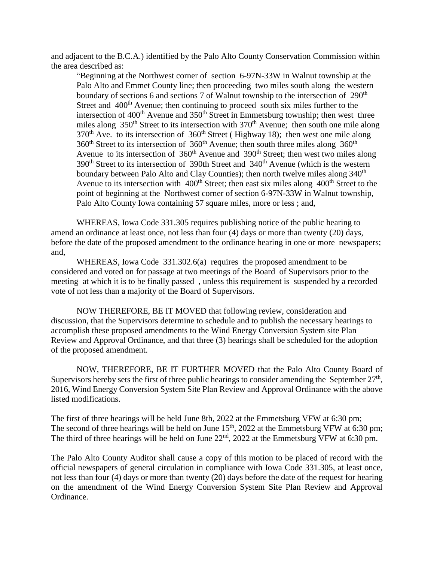and adjacent to the B.C.A.) identified by the Palo Alto County Conservation Commission within the area described as:

"Beginning at the Northwest corner of section 6-97N-33W in Walnut township at the Palo Alto and Emmet County line; then proceeding two miles south along the western boundary of sections 6 and sections 7 of Walnut township to the intersection of 290<sup>th</sup> Street and 400<sup>th</sup> Avenue; then continuing to proceed south six miles further to the intersection of  $400<sup>th</sup>$  Avenue and  $350<sup>th</sup>$  Street in Emmetsburg township; then west three miles along  $350<sup>th</sup>$  Street to its intersection with  $370<sup>th</sup>$  Avenue; then south one mile along  $370<sup>th</sup>$  Ave. to its intersection of  $360<sup>th</sup>$  Street (Highway 18); then west one mile along  $360<sup>th</sup>$  Street to its intersection of  $360<sup>th</sup>$  Avenue; then south three miles along  $360<sup>th</sup>$ Avenue to its intersection of 360<sup>th</sup> Avenue and 390<sup>th</sup> Street; then west two miles along  $390<sup>th</sup>$  Street to its intersection of 390th Street and  $340<sup>th</sup>$  Avenue (which is the western boundary between Palo Alto and Clay Counties); then north twelve miles along  $340<sup>th</sup>$ Avenue to its intersection with  $400<sup>th</sup>$  Street; then east six miles along  $400<sup>th</sup>$  Street to the point of beginning at the Northwest corner of section 6-97N-33W in Walnut township, Palo Alto County Iowa containing 57 square miles, more or less ; and,

WHEREAS, Iowa Code 331.305 requires publishing notice of the public hearing to amend an ordinance at least once, not less than four (4) days or more than twenty (20) days, before the date of the proposed amendment to the ordinance hearing in one or more newspapers; and,

WHEREAS, Iowa Code 331.302.6(a) requires the proposed amendment to be considered and voted on for passage at two meetings of the Board of Supervisors prior to the meeting at which it is to be finally passed , unless this requirement is suspended by a recorded vote of not less than a majority of the Board of Supervisors.

NOW THEREFORE, BE IT MOVED that following review, consideration and discussion, that the Supervisors determine to schedule and to publish the necessary hearings to accomplish these proposed amendments to the Wind Energy Conversion System site Plan Review and Approval Ordinance, and that three (3) hearings shall be scheduled for the adoption of the proposed amendment.

NOW, THEREFORE, BE IT FURTHER MOVED that the Palo Alto County Board of Supervisors hereby sets the first of three public hearings to consider amending the September  $27<sup>th</sup>$ , 2016, Wind Energy Conversion System Site Plan Review and Approval Ordinance with the above listed modifications.

The first of three hearings will be held June 8th, 2022 at the Emmetsburg VFW at 6:30 pm; The second of three hearings will be held on June  $15<sup>th</sup>$ , 2022 at the Emmetsburg VFW at 6:30 pm; The third of three hearings will be held on June 22<sup>nd</sup>, 2022 at the Emmetsburg VFW at 6:30 pm.

The Palo Alto County Auditor shall cause a copy of this motion to be placed of record with the official newspapers of general circulation in compliance with Iowa Code 331.305, at least once, not less than four (4) days or more than twenty (20) days before the date of the request for hearing on the amendment of the Wind Energy Conversion System Site Plan Review and Approval Ordinance.